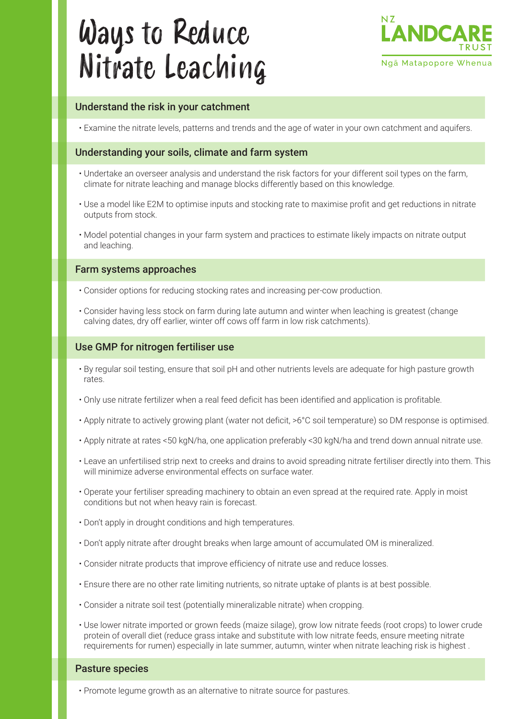# Ways to Reduce Nitrate Leaching



# Understand the risk in your catchment

• Examine the nitrate levels, patterns and trends and the age of water in your own catchment and aquifers.

# Understanding your soils, climate and farm system

- Undertake an overseer analysis and understand the risk factors for your different soil types on the farm, climate for nitrate leaching and manage blocks differently based on this knowledge.
- Use a model like E2M to optimise inputs and stocking rate to maximise profit and get reductions in nitrate outputs from stock.
- Model potential changes in your farm system and practices to estimate likely impacts on nitrate output and leaching.

## Farm systems approaches

- Consider options for reducing stocking rates and increasing per-cow production. •
- Consider having less stock on farm during late autumn and winter when leaching is greatest (change calving dates, dry off earlier, winter off cows off farm in low risk catchments).

## Use GMP for nitrogen fertiliser use

- $\cdot$  By regular soil testing, ensure that soil pH and other nutrients levels are adequate for high pasture growth rates.
- Only use nitrate fertilizer when a real feed deficit has been identified and application is profitable. •
- Apply nitrate to actively growing plant (water not deficit, >6°C soil temperature) so DM response is optimised.
- Apply nitrate at rates <50 kgN/ha, one application preferably <30 kgN/ha and trend down annual nitrate use.
- Leave an unfertilised strip next to creeks and drains to avoid spreading nitrate fertiliser directly into them. This will minimize adverse environmental effects on surface water.
- $\cdot$  Operate your fertiliser spreading machinery to obtain an even spread at the required rate. Apply in moist conditions but not when heavy rain is forecast.
- Don't apply in drought conditions and high temperatures. •
- Don't apply nitrate after drought breaks when large amount of accumulated OM is mineralized.
- Consider nitrate products that improve efficiency of nitrate use and reduce losses. •
- Ensure there are no other rate limiting nutrients, so nitrate uptake of plants is at best possible. •
- Consider a nitrate soil test (potentially mineralizable nitrate) when cropping. •
- Use lower nitrate imported or grown feeds (maize silage), grow low nitrate feeds (root crops) to lower crude protein of overall diet (reduce grass intake and substitute with low nitrate feeds, ensure meeting nitrate requirements for rumen) especially in late summer, autumn, winter when nitrate leaching risk is highest .

#### Pasture species

• Promote legume growth as an alternative to nitrate source for pastures.